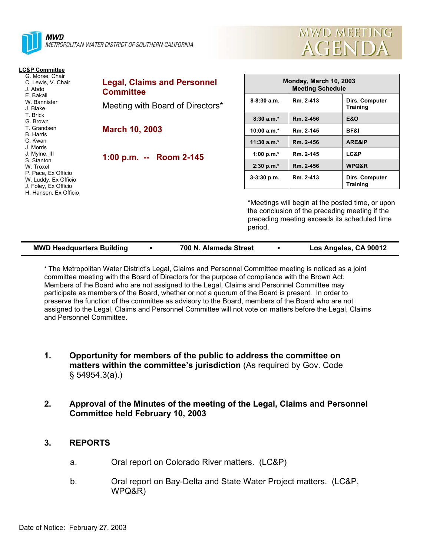

#### **LC&P Committee**

| G. Morse, Chair<br>C. Lewis, V. Chair<br>J. Abdo<br>E. Bakall | Legal, <b>g</b><br>Commi |
|---------------------------------------------------------------|--------------------------|
| W. Bannister<br>J. Blake                                      | Meeting                  |
| T. Brick                                                      |                          |
| G. Brown                                                      |                          |
| T. Grandsen                                                   | <b>March</b>             |
| B. Harris                                                     |                          |
| C. Kwan                                                       |                          |
| J. Morris                                                     |                          |
| J. Mylne, III                                                 |                          |
| S. Stanton                                                    | 1:00 p.                  |
| W. Troxel                                                     |                          |
| P. Pace, Ex Officio                                           |                          |
| W. Luddy, Ex Officio                                          |                          |
| J. Foley, Ex Officio                                          |                          |
| H. Hansen, Ex Officio                                         |                          |

| <b>Legal, Claims and Personnel</b><br><b>Committee</b> |
|--------------------------------------------------------|
| Meeting with Board of Directors*                       |
| <b>March 10, 2003</b>                                  |
| 1:00 p.m. -- Room 2-145                                |
|                                                        |

| <b>Monday, March 10, 2003</b><br><b>Meeting Schedule</b> |           |                                   |  |  |  |
|----------------------------------------------------------|-----------|-----------------------------------|--|--|--|
| $8 - 8:30$ a.m.                                          | Rm. 2-413 | Dirs. Computer<br><b>Training</b> |  |  |  |
| $8:30a.m.*$                                              | Rm. 2-456 | <b>E&amp;O</b>                    |  |  |  |
| 10:00 $a.m.*$                                            | Rm. 2-145 | BF&I                              |  |  |  |
| $11:30$ a.m.*                                            | Rm. 2-456 | <b>ARE&amp;IP</b>                 |  |  |  |
| 1:00 p.m. $*$                                            | Rm. 2-145 | <b>LC&amp;P</b>                   |  |  |  |
| $2:30 p.m.*$                                             | Rm. 2-456 | WPQ&R                             |  |  |  |
| $3-3:30$ p.m.                                            | Rm. 2-413 | Dirs. Computer<br><b>Training</b> |  |  |  |

MWD MEETING

**AGENDA** 

\*Meetings will begin at the posted time, or upon the conclusion of the preceding meeting if the preceding meeting exceeds its scheduled time period.

| <b>MWD Headquarters Building</b> | 700 N. Alameda Street | Los Angeles, CA 90012 |
|----------------------------------|-----------------------|-----------------------|
|                                  |                       |                       |

\* The Metropolitan Water District's Legal, Claims and Personnel Committee meeting is noticed as a joint committee meeting with the Board of Directors for the purpose of compliance with the Brown Act. Members of the Board who are not assigned to the Legal, Claims and Personnel Committee may participate as members of the Board, whether or not a quorum of the Board is present. In order to preserve the function of the committee as advisory to the Board, members of the Board who are not assigned to the Legal, Claims and Personnel Committee will not vote on matters before the Legal, Claims and Personnel Committee.

- **1. Opportunity for members of the public to address the committee on matters within the committee's jurisdiction** (As required by Gov. Code § 54954.3(a).)
- **2. Approval of the Minutes of the meeting of the Legal, Claims and Personnel Committee held February 10, 2003**

#### **3. REPORTS**

- a. Oral report on Colorado River matters. (LC&P)
- b. Oral report on Bay-Delta and State Water Project matters. (LC&P, WPQ&R)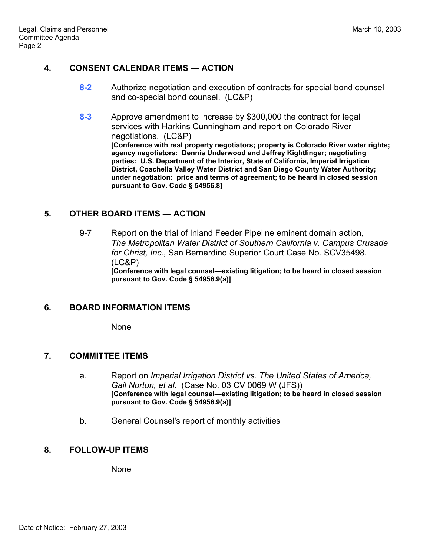# **4. CONSENT CALENDAR ITEMS — ACTION**

- **8-2** Authorize negotiation and execution of contracts for special bond counsel and co-special bond counsel. (LC&P)
- **8-3** Approve amendment to increase by \$300,000 the contract for legal services with Harkins Cunningham and report on Colorado River negotiations. (LC&P) **[Conference with real property negotiators; property is Colorado River water rights; agency negotiators: Dennis Underwood and Jeffrey Kightlinger; negotiating parties: U.S. Department of the Interior, State of California, Imperial Irrigation District, Coachella Valley Water District and San Diego County Water Authority; under negotiation: price and terms of agreement; to be heard in closed session pursuant to Gov. Code § 54956.8]**

## **5. OTHER BOARD ITEMS — ACTION**

9-7 Report on the trial of Inland Feeder Pipeline eminent domain action, *The Metropolitan Water District of Southern California v. Campus Crusade for Christ, Inc*., San Bernardino Superior Court Case No. SCV35498. (LC&P)

**[Conference with legal counsel—existing litigation; to be heard in closed session pursuant to Gov. Code § 54956.9(a)]** 

## **6. BOARD INFORMATION ITEMS**

None

## **7. COMMITTEE ITEMS**

- a. Report on *Imperial Irrigation District vs. The United States of America, Gail Norton, et al*. (Case No. 03 CV 0069 W (JFS)) **[Conference with legal counsel—existing litigation; to be heard in closed session pursuant to Gov. Code § 54956.9(a)]**
- b. General Counsel's report of monthly activities

# **8. FOLLOW-UP ITEMS**

**None**